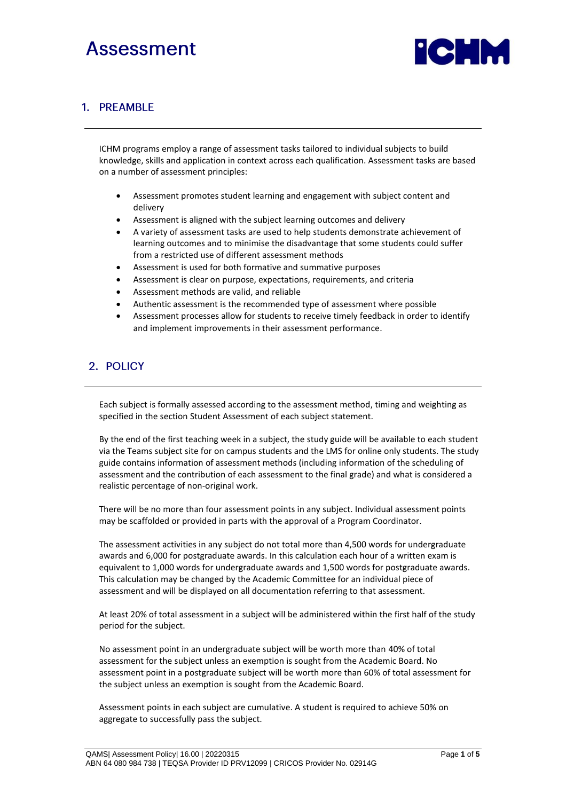# Assessment



### 1. PREAMBLE

ICHM programs employ a range of assessment tasks tailored to individual subjects to build knowledge, skills and application in context across each qualification. Assessment tasks are based on a number of assessment principles:

- Assessment promotes student learning and engagement with subject content and delivery
- Assessment is aligned with the subject learning outcomes and delivery
- A variety of assessment tasks are used to help students demonstrate achievement of learning outcomes and to minimise the disadvantage that some students could suffer from a restricted use of different assessment methods
- Assessment is used for both formative and summative purposes
- Assessment is clear on purpose, expectations, requirements, and criteria
- Assessment methods are valid, and reliable
- Authentic assessment is the recommended type of assessment where possible
- Assessment processes allow for students to receive timely feedback in order to identify and implement improvements in their assessment performance.

# 2. POLICY

Each subject is formally assessed according to the assessment method, timing and weighting as specified in the section Student Assessment of each subject statement.

By the end of the first teaching week in a subject, the study guide will be available to each student via the Teams subject site for on campus students and the LMS for online only students. The study guide contains information of assessment methods (including information of the scheduling of assessment and the contribution of each assessment to the final grade) and what is considered a realistic percentage of non-original work.

There will be no more than four assessment points in any subject. Individual assessment points may be scaffolded or provided in parts with the approval of a Program Coordinator.

The assessment activities in any subject do not total more than 4,500 words for undergraduate awards and 6,000 for postgraduate awards. In this calculation each hour of a written exam is equivalent to 1,000 words for undergraduate awards and 1,500 words for postgraduate awards. This calculation may be changed by the Academic Committee for an individual piece of assessment and will be displayed on all documentation referring to that assessment.

At least 20% of total assessment in a subject will be administered within the first half of the study period for the subject.

No assessment point in an undergraduate subject will be worth more than 40% of total assessment for the subject unless an exemption is sought from the Academic Board. No assessment point in a postgraduate subject will be worth more than 60% of total assessment for the subject unless an exemption is sought from the Academic Board.

Assessment points in each subject are cumulative. A student is required to achieve 50% on aggregate to successfully pass the subject.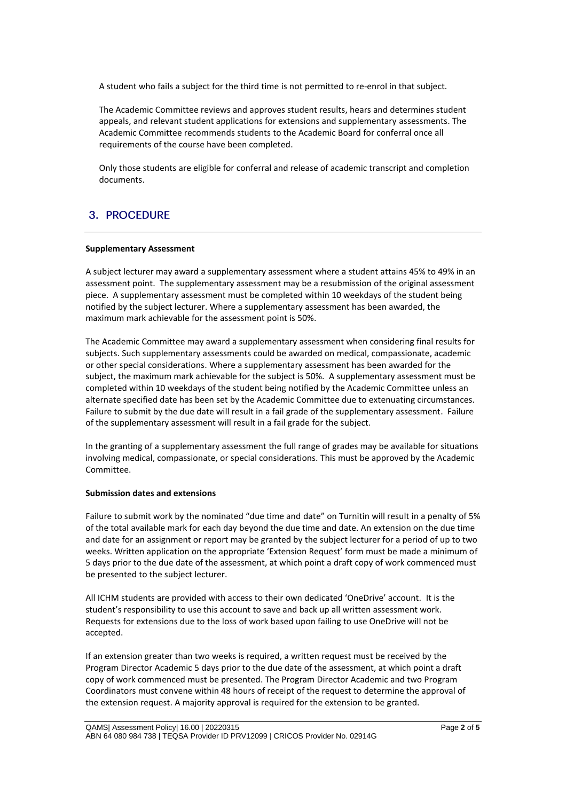A student who fails a subject for the third time is not permitted to re-enrol in that subject.

The Academic Committee reviews and approves student results, hears and determines student appeals, and relevant student applications for extensions and supplementary assessments. The Academic Committee recommends students to the Academic Board for conferral once all requirements of the course have been completed.

Only those students are eligible for conferral and release of academic transcript and completion documents.

# 3. PROCEDURE

#### **Supplementary Assessment**

A subject lecturer may award a supplementary assessment where a student attains 45% to 49% in an assessment point. The supplementary assessment may be a resubmission of the original assessment piece. A supplementary assessment must be completed within 10 weekdays of the student being notified by the subject lecturer. Where a supplementary assessment has been awarded, the maximum mark achievable for the assessment point is 50%.

The Academic Committee may award a supplementary assessment when considering final results for subjects. Such supplementary assessments could be awarded on medical, compassionate, academic or other special considerations. Where a supplementary assessment has been awarded for the subject, the maximum mark achievable for the subject is 50%. A supplementary assessment must be completed within 10 weekdays of the student being notified by the Academic Committee unless an alternate specified date has been set by the Academic Committee due to extenuating circumstances. Failure to submit by the due date will result in a fail grade of the supplementary assessment. Failure of the supplementary assessment will result in a fail grade for the subject.

In the granting of a supplementary assessment the full range of grades may be available for situations involving medical, compassionate, or special considerations. This must be approved by the Academic Committee.

#### **Submission dates and extensions**

Failure to submit work by the nominated "due time and date" on Turnitin will result in a penalty of 5% of the total available mark for each day beyond the due time and date. An extension on the due time and date for an assignment or report may be granted by the subject lecturer for a period of up to two weeks. Written application on the appropriate 'Extension Request' form must be made a minimum of 5 days prior to the due date of the assessment, at which point a draft copy of work commenced must be presented to the subject lecturer.

All ICHM students are provided with access to their own dedicated 'OneDrive' account. It is the student's responsibility to use this account to save and back up all written assessment work. Requests for extensions due to the loss of work based upon failing to use OneDrive will not be accepted.

If an extension greater than two weeks is required, a written request must be received by the Program Director Academic 5 days prior to the due date of the assessment, at which point a draft copy of work commenced must be presented. The Program Director Academic and two Program Coordinators must convene within 48 hours of receipt of the request to determine the approval of the extension request. A majority approval is required for the extension to be granted.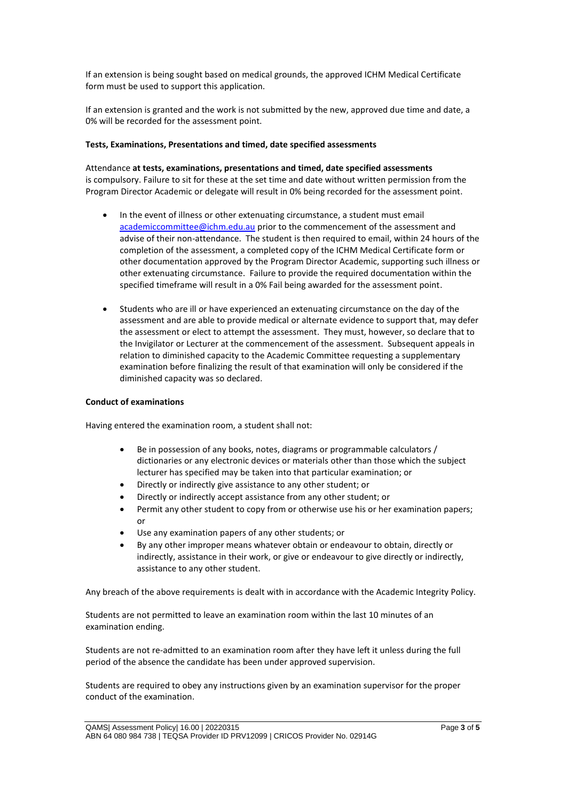If an extension is being sought based on medical grounds, the approved ICHM Medical Certificate form must be used to support this application.

If an extension is granted and the work is not submitted by the new, approved due time and date, a 0% will be recorded for the assessment point.

#### **Tests, Examinations, Presentations and timed, date specified assessments**

Attendance **at tests, examinations, presentations and timed, date specified assessments**  is compulsory. Failure to sit for these at the set time and date without written permission from the Program Director Academic or delegate will result in 0% being recorded for the assessment point.

- In the event of illness or other extenuating circumstance, a student must email [academiccommittee@ichm.edu.au](mailto:academiccommittee@ichm.edu.au) prior to the commencement of the assessment and advise of their non-attendance. The student is then required to email, within 24 hours of the completion of the assessment, a completed copy of the ICHM Medical Certificate form or other documentation approved by the Program Director Academic, supporting such illness or other extenuating circumstance. Failure to provide the required documentation within the specified timeframe will result in a 0% Fail being awarded for the assessment point.
- Students who are ill or have experienced an extenuating circumstance on the day of the assessment and are able to provide medical or alternate evidence to support that, may defer the assessment or elect to attempt the assessment. They must, however, so declare that to the Invigilator or Lecturer at the commencement of the assessment. Subsequent appeals in relation to diminished capacity to the Academic Committee requesting a supplementary examination before finalizing the result of that examination will only be considered if the diminished capacity was so declared.

#### **Conduct of examinations**

Having entered the examination room, a student shall not:

- Be in possession of any books, notes, diagrams or programmable calculators / dictionaries or any electronic devices or materials other than those which the subject lecturer has specified may be taken into that particular examination; or
- Directly or indirectly give assistance to any other student; or
- Directly or indirectly accept assistance from any other student; or
- Permit any other student to copy from or otherwise use his or her examination papers; or
- Use any examination papers of any other students; or
- By any other improper means whatever obtain or endeavour to obtain, directly or indirectly, assistance in their work, or give or endeavour to give directly or indirectly, assistance to any other student.

Any breach of the above requirements is dealt with in accordance with the Academic Integrity Policy.

Students are not permitted to leave an examination room within the last 10 minutes of an examination ending.

Students are not re-admitted to an examination room after they have left it unless during the full period of the absence the candidate has been under approved supervision.

Students are required to obey any instructions given by an examination supervisor for the proper conduct of the examination.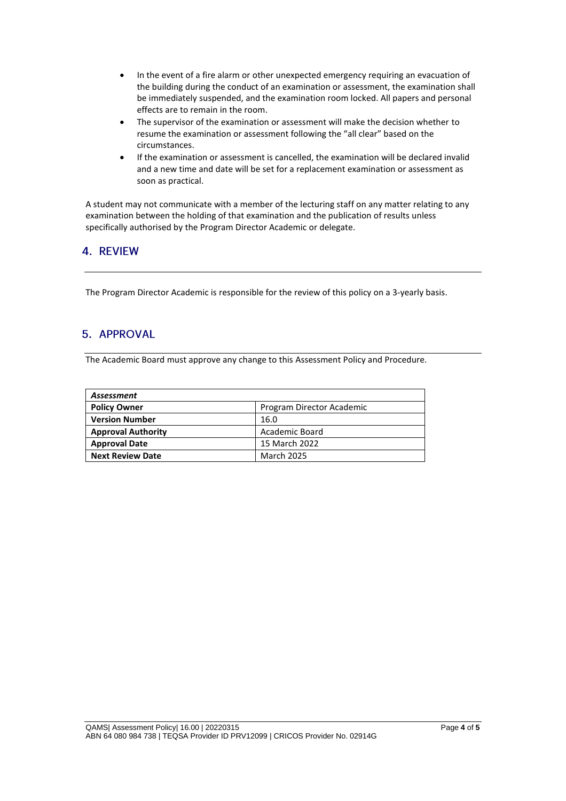- In the event of a fire alarm or other unexpected emergency requiring an evacuation of the building during the conduct of an examination or assessment, the examination shall be immediately suspended, and the examination room locked. All papers and personal effects are to remain in the room.
- The supervisor of the examination or assessment will make the decision whether to resume the examination or assessment following the "all clear" based on the circumstances.
- If the examination or assessment is cancelled, the examination will be declared invalid and a new time and date will be set for a replacement examination or assessment as soon as practical.

A student may not communicate with a member of the lecturing staff on any matter relating to any examination between the holding of that examination and the publication of results unless specifically authorised by the Program Director Academic or delegate.

# 4. REVIEW

The Program Director Academic is responsible for the review of this policy on a 3-yearly basis.

# 5. APPROVAL

The Academic Board must approve any change to this Assessment Policy and Procedure.

| Assessment                |                           |  |
|---------------------------|---------------------------|--|
| <b>Policy Owner</b>       | Program Director Academic |  |
| <b>Version Number</b>     | 16.0                      |  |
| <b>Approval Authority</b> | Academic Board            |  |
| <b>Approval Date</b>      | 15 March 2022             |  |
| <b>Next Review Date</b>   | <b>March 2025</b>         |  |